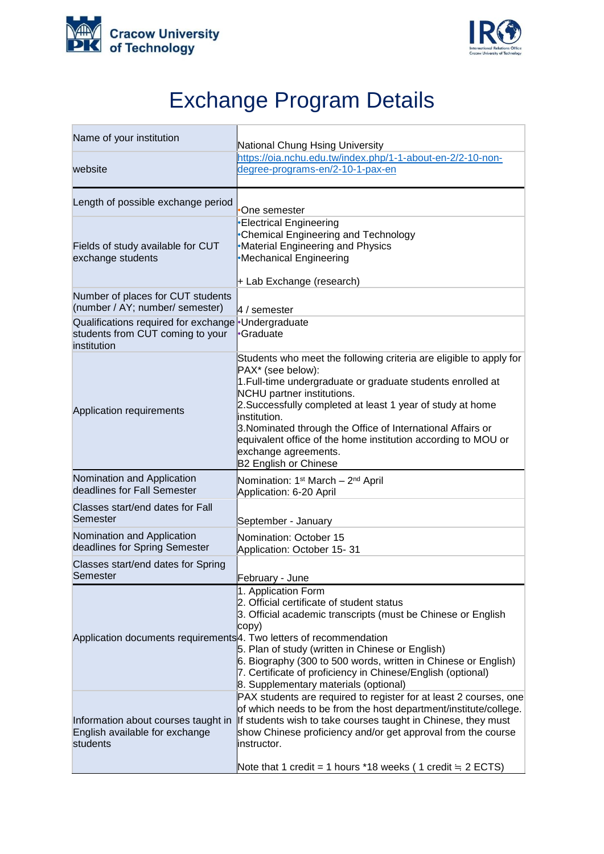



## Exchange Program Details

| Name of your institution                                                                              | National Chung Hsing University                                                                                                                                                                                                                                                                                                                                                                                                                            |
|-------------------------------------------------------------------------------------------------------|------------------------------------------------------------------------------------------------------------------------------------------------------------------------------------------------------------------------------------------------------------------------------------------------------------------------------------------------------------------------------------------------------------------------------------------------------------|
| website                                                                                               | https://oia.nchu.edu.tw/index.php/1-1-about-en-2/2-10-non-<br>degree-programs-en/2-10-1-pax-en                                                                                                                                                                                                                                                                                                                                                             |
| Length of possible exchange period                                                                    | One semester                                                                                                                                                                                                                                                                                                                                                                                                                                               |
| Fields of study available for CUT<br>exchange students                                                | <b>Electrical Engineering</b><br><b>Chemical Engineering and Technology</b><br><b>Material Engineering and Physics</b><br>Mechanical Engineering<br>+ Lab Exchange (research)                                                                                                                                                                                                                                                                              |
| Number of places for CUT students<br>(number / AY; number/ semester)                                  | 4 / semester                                                                                                                                                                                                                                                                                                                                                                                                                                               |
| Qualifications required for exchange Undergraduate<br>students from CUT coming to your<br>institution | •Graduate                                                                                                                                                                                                                                                                                                                                                                                                                                                  |
| Application requirements                                                                              | Students who meet the following criteria are eligible to apply for<br>PAX* (see below):<br>1. Full-time undergraduate or graduate students enrolled at<br>NCHU partner institutions.<br>2. Successfully completed at least 1 year of study at home<br>institution.<br>3. Nominated through the Office of International Affairs or<br>equivalent office of the home institution according to MOU or<br>exchange agreements.<br><b>B2 English or Chinese</b> |
| Nomination and Application<br>deadlines for Fall Semester                                             | Nomination: 1 <sup>st</sup> March - 2 <sup>nd</sup> April<br>Application: 6-20 April                                                                                                                                                                                                                                                                                                                                                                       |
| Classes start/end dates for Fall<br>Semester                                                          | September - January                                                                                                                                                                                                                                                                                                                                                                                                                                        |
| Nomination and Application<br>deadlines for Spring Semester                                           | Nomination: October 15<br>Application: October 15-31                                                                                                                                                                                                                                                                                                                                                                                                       |
| Classes start/end dates for Spring<br>Semester                                                        | February - June                                                                                                                                                                                                                                                                                                                                                                                                                                            |
| Application documents requirements 4. Two letters of recommendation                                   | 1. Application Form<br>2. Official certificate of student status<br>3. Official academic transcripts (must be Chinese or English<br>copy)<br>5. Plan of study (written in Chinese or English)<br>6. Biography (300 to 500 words, written in Chinese or English)<br>7. Certificate of proficiency in Chinese/English (optional)<br>8. Supplementary materials (optional)                                                                                    |
| Information about courses taught in<br>English available for exchange<br>students                     | PAX students are required to register for at least 2 courses, one<br>of which needs to be from the host department/institute/college.<br>If students wish to take courses taught in Chinese, they must<br>show Chinese proficiency and/or get approval from the course<br>linstructor.<br>Note that 1 credit = 1 hours *18 weeks (1 credit $\equiv$ 2 ECTS)                                                                                                |